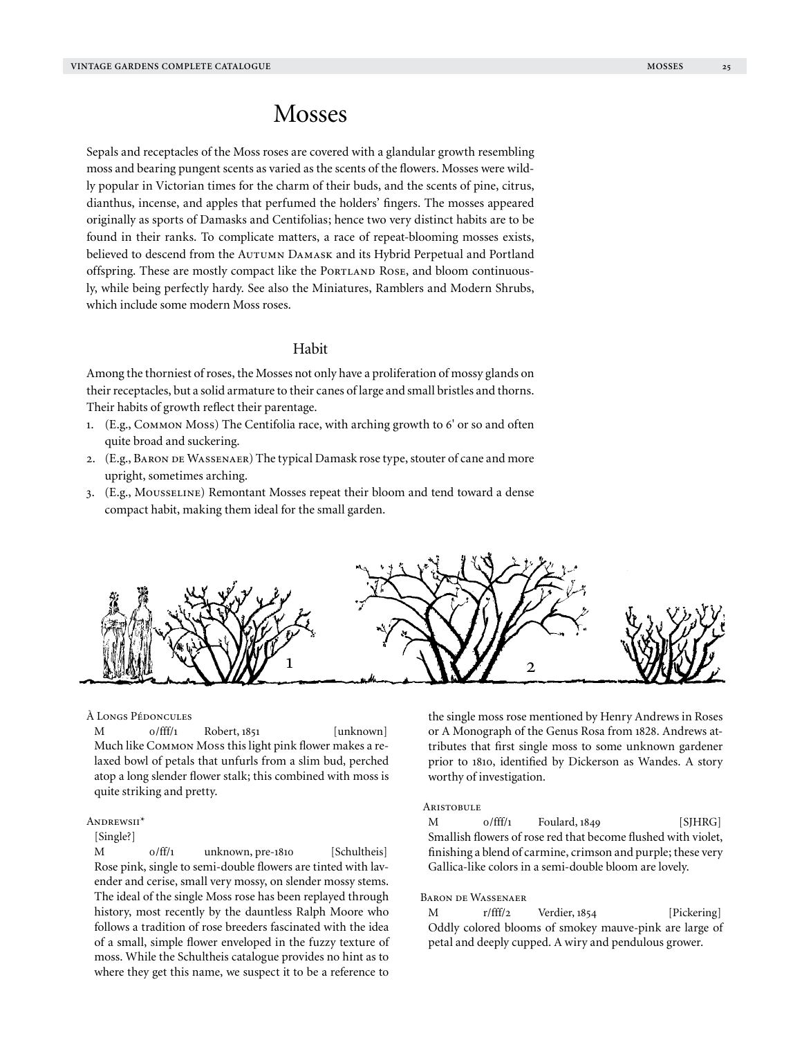# Mosses

Sepals and receptacles of the Moss roses are covered with a glandular growth resembling moss and bearing pungent scents as varied as the scents of the flowers. Mosses were wildly popular in Victorian times for the charm of their buds, and the scents of pine, citrus, dianthus, incense, and apples that perfumed the holders' fingers. The mosses appeared originally as sports of Damasks and Centifolias; hence two very distinct habits are to be found in their ranks. To complicate matters, a race of repeat-blooming mosses exists, believed to descend from the Autumn Damask and its Hybrid Perpetual and Portland offspring. These are mostly compact like the PORTLAND ROSE, and bloom continuously, while being perfectly hardy. See also the Miniatures, Ramblers and Modern Shrubs, which include some modern Moss roses.

# Habit

Among the thorniest of roses, the Mosses not only have a proliferation of mossy glands on their receptacles, but a solid armature to their canes of large and small bristles and thorns. Their habits of growth reflect their parentage.

- 1. (E.g., Common Moss) The Centifolia race, with arching growth to 6' or so and often quite broad and suckering.
- 2. (E.g., Baron de Wassenaer) The typical Damask rose type, stouter of cane and more upright, sometimes arching.
- 3. (E.g., Mousseline) Remontant Mosses repeat their bloom and tend toward a dense compact habit, making them ideal for the small garden.



#### À Longs Pédoncules

M 0/fff/1 Robert, 1851 [unknown] Much like Common Moss this light pink flower makes a relaxed bowl of petals that unfurls from a slim bud, perched atop a long slender flower stalk; this combined with moss is quite striking and pretty.

# ANDREWSII\*

#### [Single?]

M 0/ff/1 unknown, pre-1810 [Schultheis] Rose pink, single to semi-double flowers are tinted with lavender and cerise, small very mossy, on slender mossy stems. The ideal of the single Moss rose has been replayed through history, most recently by the dauntless Ralph Moore who follows a tradition of rose breeders fascinated with the idea of a small, simple flower enveloped in the fuzzy texture of moss. While the Schultheis catalogue provides no hint as to where they get this name, we suspect it to be a reference to

the single moss rose mentioned by Henry Andrews in Roses or A Monograph of the Genus Rosa from 1828. Andrews attributes that first single moss to some unknown gardener prior to 1810, identified by Dickerson as Wandes. A story worthy of investigation.

#### **ARISTOBULE**

 $M$  0/fff/1 Foulard, 1849 [SJHRG] Smallish flowers of rose red that become flushed with violet, finishing a blend of carmine, crimson and purple; these very Gallica-like colors in a semi-double bloom are lovely.

## Baron de Wassenaer

M r/fff/2 Verdier, 1854 [Pickering] Oddly colored blooms of smokey mauve-pink are large of petal and deeply cupped. A wiry and pendulous grower.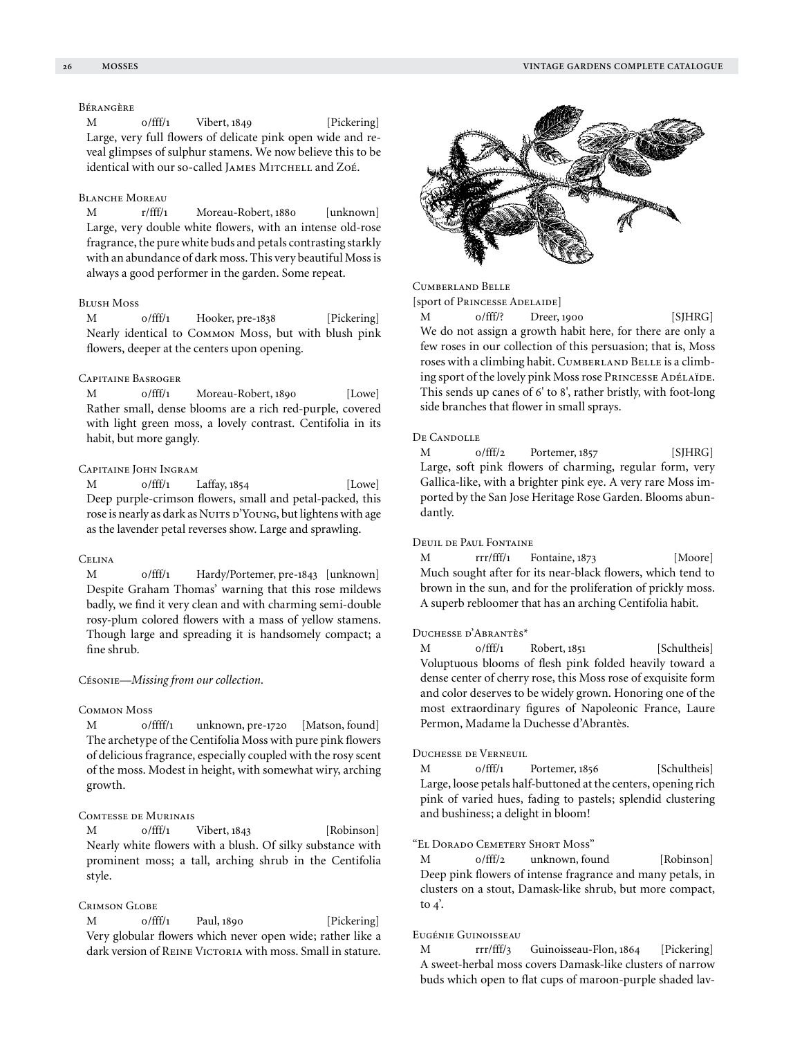# Bérangère

M 0/fff/1 Vibert, 1849 [Pickering] Large, very full flowers of delicate pink open wide and reveal glimpses of sulphur stamens. We now believe this to be identical with our so-called JAMES MITCHELL and Zoé.

# Blanche Moreau

M r/fff/1 Moreau-Robert, 1880 [unknown] Large, very double white flowers, with an intense old-rose fragrance, the pure white buds and petals contrasting starkly with an abundance of dark moss. This very beautiful Moss is always a good performer in the garden. Some repeat.

# Blush Moss

M 0/fff/1 Hooker, pre-1838 [Pickering] Nearly identical to Common Moss, but with blush pink flowers, deeper at the centers upon opening.

## Capitaine Basroger

M 0/fff/1 Moreau-Robert, 1890 [Lowe] Rather small, dense blooms are a rich red-purple, covered with light green moss, a lovely contrast. Centifolia in its habit, but more gangly.

# Capitaine John Ingram

M 0/fff/1 Laffay, 1854 [Lowe] Deep purple-crimson flowers, small and petal-packed, this rose is nearly as dark as Nuits d'Young, but lightens with age as the lavender petal reverses show. Large and sprawling.

## **CELINA**

M 0/fff/1 Hardy/Portemer, pre-1843 [unknown] Despite Graham Thomas' warning that this rose mildews badly, we find it very clean and with charming semi-double rosy-plum colored flowers with a mass of yellow stamens. Though large and spreading it is handsomely compact; a fine shrub.

#### Césonie—*Missing from our collection.*

#### Common Moss

M 0/ffff/1 unknown, pre-1720 [Matson, found] The archetype of the Centifolia Moss with pure pink flowers of delicious fragrance, especially coupled with the rosy scent of the moss. Modest in height, with somewhat wiry, arching growth.

## Comtesse de Murinais

M  $0/$ fff/1 Vibert, 1843 [Robinson] Nearly white flowers with a blush. Of silky substance with prominent moss; a tall, arching shrub in the Centifolia style.

# Crimson Globe

M 0/fff/1 Paul, 1890 [Pickering] Very globular flowers which never open wide; rather like a dark version of REINE VICTORIA with moss. Small in stature.



Cumberland Belle

[sport of Princesse Adelaide]

M 0/fff/? Dreer, 1900 [SJHRG] We do not assign a growth habit here, for there are only a few roses in our collection of this persuasion; that is, Moss roses with a climbing habit. CUMBERLAND BELLE is a climbing sport of the lovely pink Moss rose PRINCESSE ADÉLAÏDE. This sends up canes of 6' to 8', rather bristly, with foot-long side branches that flower in small sprays.

#### DE CANDOLLE

M 0/fff/2 Portemer, 1857 [SJHRG] Large, soft pink flowers of charming, regular form, very Gallica-like, with a brighter pink eye. A very rare Moss imported by the San Jose Heritage Rose Garden. Blooms abundantly.

# Deuil de Paul Fontaine

M rrr/fff/1 Fontaine, 1873 [Moore] Much sought after for its near-black flowers, which tend to brown in the sun, and for the proliferation of prickly moss. A superb rebloomer that has an arching Centifolia habit.

#### Duchesse d'Abrantès\*

M 0/fff/1 Robert, 1851 [Schultheis] Voluptuous blooms of flesh pink folded heavily toward a dense center of cherry rose, this Moss rose of exquisite form and color deserves to be widely grown. Honoring one of the most extraordinary figures of Napoleonic France, Laure Permon, Madame la Duchesse d'Abrantès.

## Duchesse de Verneuil

M 0/fff/1 Portemer, 1856 [Schultheis] Large, loose petals half-buttoned at the centers, opening rich pink of varied hues, fading to pastels; splendid clustering and bushiness; a delight in bloom!

## "El Dorado Cemetery Short Moss"

M  $0/fft/2$  unknown, found [Robinson] Deep pink flowers of intense fragrance and many petals, in clusters on a stout, Damask-like shrub, but more compact, to  $4$ <sup>'</sup>.

## Eugénie Guinoisseau

M rrr/fff/3 Guinoisseau-Flon, 1864 [Pickering] A sweet-herbal moss covers Damask-like clusters of narrow buds which open to flat cups of maroon-purple shaded lav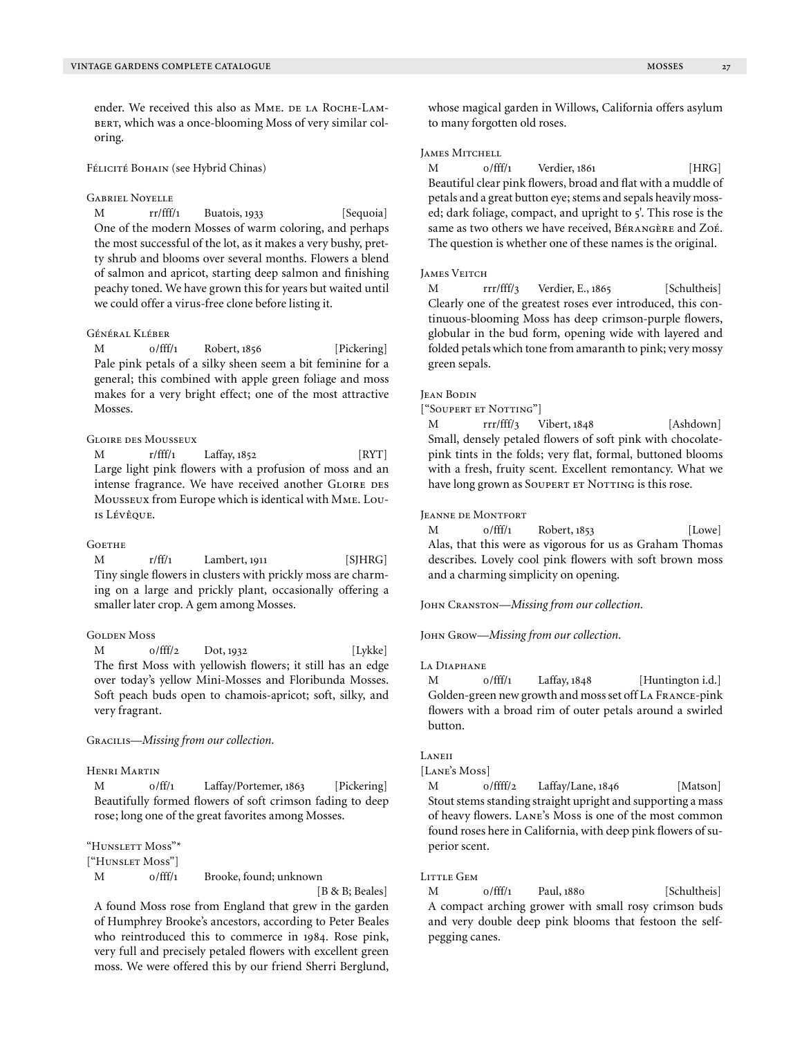ender. We received this also as MME. DE LA ROCHE-LAMbert, which was a once-blooming Moss of very similar coloring.

#### Félicité Bohain (see Hybrid Chinas)

## Gabriel Noyelle

M rr/fff/1 Buatois, 1933 [Sequoia] One of the modern Mosses of warm coloring, and perhaps the most successful of the lot, as it makes a very bushy, pretty shrub and blooms over several months. Flowers a blend of salmon and apricot, starting deep salmon and finishing peachy toned. We have grown this for years but waited until we could offer a virus-free clone before listing it.

#### Général Kléber

M 0/fff/1 Robert, 1856 [Pickering] Pale pink petals of a silky sheen seem a bit feminine for a general; this combined with apple green foliage and moss makes for a very bright effect; one of the most attractive Mosses.

# Gloire des Mousseux

M r/fff/1 Laffay, 1852 [RYT] Large light pink flowers with a profusion of moss and an intense fragrance. We have received another GLOIRE DES Mousseux from Europe which is identical with Mme. Louis Lévêque.

#### **GOETHE**

M r/ff/1 Lambert, 1911 [SJHRG] Tiny single flowers in clusters with prickly moss are charming on a large and prickly plant, occasionally offering a smaller later crop. A gem among Mosses.

## **GOLDEN MOSS**

M 0/fff/2 Dot, 1932 [Lykke] The first Moss with yellowish flowers; it still has an edge over today's yellow Mini-Mosses and Floribunda Mosses. Soft peach buds open to chamois-apricot; soft, silky, and very fragrant.

# Gracilis—*Missing from our collection.*

# Henri Martin

M 0/ff/1 Laffay/Portemer, 1863 [Pickering] Beautifully formed flowers of soft crimson fading to deep rose; long one of the great favorites among Mosses.

"Hunslett Moss"\*

["Hunslet Moss"]

M 0/fff/1 Brooke, found; unknown

[B & B; Beales]

A found Moss rose from England that grew in the garden of Humphrey Brooke's ancestors, according to Peter Beales who reintroduced this to commerce in 1984. Rose pink, very full and precisely petaled flowers with excellent green moss. We were offered this by our friend Sherri Berglund, whose magical garden in Willows, California offers asylum to many forgotten old roses.

## **JAMES MITCHELL**

M 0/fff/1 Verdier, 1861 [HRG] Beautiful clear pink flowers, broad and flat with a muddle of petals and a great button eye; stems and sepals heavily mossed; dark foliage, compact, and upright to 5'. This rose is the same as two others we have received, BÉRANGÈRE and ZOÉ. The question is whether one of these names is the original.

#### **JAMES VEITCH**

M rrr/fff/3 Verdier, E., 1865 [Schultheis] Clearly one of the greatest roses ever introduced, this continuous-blooming Moss has deep crimson-purple flowers, globular in the bud form, opening wide with layered and folded petals which tone from amaranth to pink; very mossy green sepals.

# Jean Bodin

["Soupert et Notting"]

M rrr/fff/3 Vibert, 1848 [Ashdown] Small, densely petaled flowers of soft pink with chocolatepink tints in the folds; very flat, formal, buttoned blooms with a fresh, fruity scent. Excellent remontancy. What we have long grown as SOUPERT ET NOTTING is this rose.

#### Jeanne de Montfort

M 0/fff/1 Robert, 1853 [Lowe] Alas, that this were as vigorous for us as Graham Thomas describes. Lovely cool pink flowers with soft brown moss and a charming simplicity on opening.

John Cranston—*Missing from our collection.*

John Grow—*Missing from our collection.*

## La Diaphane

M  $0/$ fff/1 Laffay, 1848 [Huntington i.d.] Golden-green new growth and moss set off La France-pink flowers with a broad rim of outer petals around a swirled button.

## Laneii

[Lane's Moss]

M 0/ffff/2 Laffay/Lane, 1846 [Matson] Stout stems standing straight upright and supporting a mass of heavy flowers. Lane's Moss is one of the most common found roses here in California, with deep pink flowers of superior scent.

#### LITTLE GEM

M 0/fff/1 Paul, 1880 [Schultheis] A compact arching grower with small rosy crimson buds and very double deep pink blooms that festoon the selfpegging canes.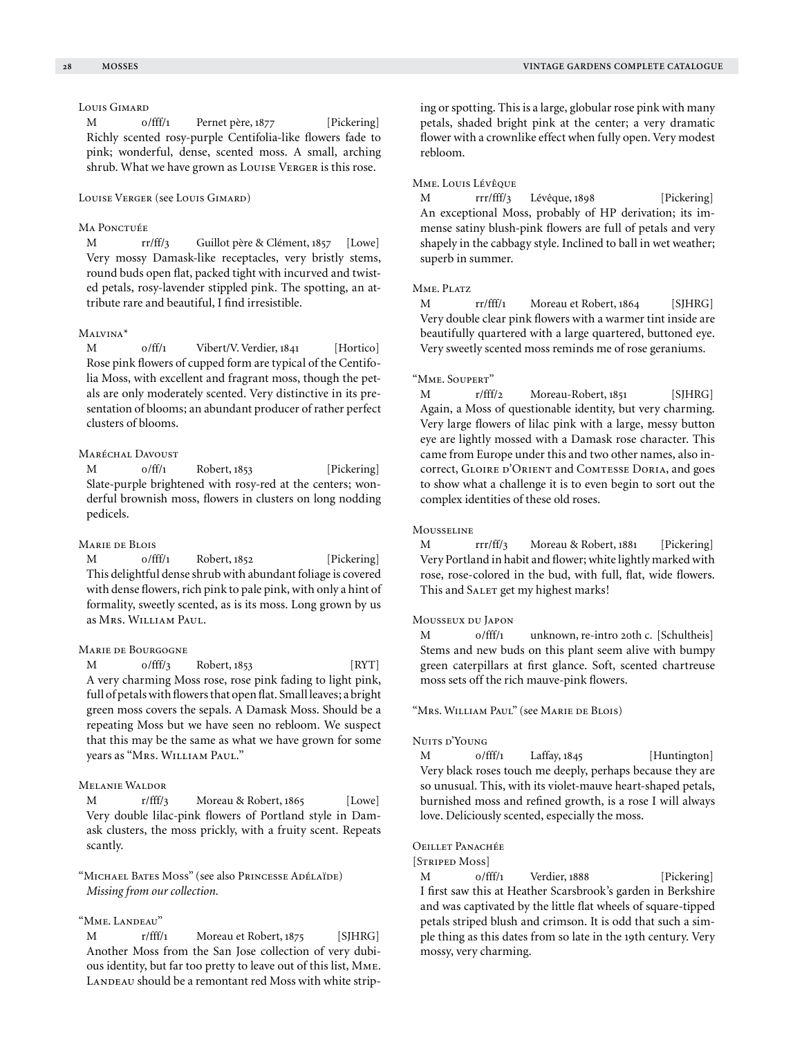# Louis Gimard

M 0/fff/1 Pernet père, 1877 [Pickering] Richly scented rosy-purple Centifolia-like flowers fade to pink; wonderful, dense, scented moss. A small, arching shrub. What we have grown as Louise Verger is this rose.

#### Louise Verger (see Louis Gimard)

## MA PONCTUÉE

M rr/ff/3 Guillot père & Clément, 1857 [Lowe] Very mossy Damask-like receptacles, very bristly stems, round buds open flat, packed tight with incurved and twisted petals, rosy-lavender stippled pink. The spotting, an attribute rare and beautiful, I find irresistible.

## Malvina\*

M 0/ff/1 Vibert/V. Verdier, 1841 [Hortico] Rose pink flowers of cupped form are typical of the Centifolia Moss, with excellent and fragrant moss, though the petals are only moderately scented. Very distinctive in its presentation of blooms; an abundant producer of rather perfect clusters of blooms.

# MARÉCHAL DAVOUST

M 0/ff/1 Robert, 1853 [Pickering] Slate-purple brightened with rosy-red at the centers; wonderful brownish moss, flowers in clusters on long nodding pedicels.

# Marie de Blois

M 0/fff/1 Robert, 1852 [Pickering] This delightful dense shrub with abundant foliage is covered with dense flowers, rich pink to pale pink, with only a hint of formality, sweetly scented, as is its moss. Long grown by us as Mrs. William Paul.

#### Marie de Bourgogne

M 0/fff/3 Robert, 1853 [RYT] A very charming Moss rose, rose pink fading to light pink, full of petals with flowers that open flat. Small leaves; a bright green moss covers the sepals. A Damask Moss. Should be a repeating Moss but we have seen no rebloom. We suspect that this may be the same as what we have grown for some years as "Mrs. William Paul."

# Melanie Waldor

M r/fff/3 Moreau & Robert, 1865 [Lowe] Very double lilac-pink flowers of Portland style in Damask clusters, the moss prickly, with a fruity scent. Repeats scantly.

"Michael Bates Moss" (see also Princesse Adélaïde) *Missing from our collection.*

# "Mme. Landeau"

M r/fff/1 Moreau et Robert, 1875 [SJHRG] Another Moss from the San Jose collection of very dubious identity, but far too pretty to leave out of this list, Mme. LANDEAU should be a remontant red Moss with white striping or spotting. This is a large, globular rose pink with many petals, shaded bright pink at the center; a very dramatic flower with a crownlike effect when fully open. Very modest rebloom.

## Mme. Louis Lévêque

M rrr/fff/3 Lévêque, 1898 [Pickering] An exceptional Moss, probably of HP derivation; its immense satiny blush-pink flowers are full of petals and very shapely in the cabbagy style. Inclined to ball in wet weather; superb in summer.

## MME. PLATZ

M rr/fff/1 Moreau et Robert, 1864 [SJHRG] Very double clear pink flowers with a warmer tint inside are beautifully quartered with a large quartered, buttoned eye. Very sweetly scented moss reminds me of rose geraniums.

#### "Mme. Soupert"

M r/fff/2 Moreau-Robert, 1851 [SJHRG] Again, a Moss of questionable identity, but very charming. Very large flowers of lilac pink with a large, messy button eye are lightly mossed with a Damask rose character. This came from Europe under this and two other names, also incorrect, GLOIRE D'ORIENT and COMTESSE DORIA, and goes to show what a challenge it is to even begin to sort out the complex identities of these old roses.

#### **MOUSSELINE**

M rrr/ff/3 Moreau & Robert, 1881 [Pickering] Very Portland in habit and flower; white lightly marked with rose, rose-colored in the bud, with full, flat, wide flowers. This and SALET get my highest marks!

## Mousseux du Japon

M 0/fff/1 unknown, re-intro 20th c. [Schultheis] Stems and new buds on this plant seem alive with bumpy green caterpillars at first glance. Soft, scented chartreuse moss sets off the rich mauve-pink flowers.

"Mrs. William Paul" (see Marie de Blois)

## Nuits d'Young

M 0/fff/1 Laffay, 1845 [Huntington] Very black roses touch me deeply, perhaps because they are so unusual. This, with its violet-mauve heart-shaped petals, burnished moss and refined growth, is a rose I will always love. Deliciously scented, especially the moss.

# Oeillet Panachée

[Striped Moss]

M 0/fff/1 Verdier, 1888 [Pickering] I first saw this at Heather Scarsbrook's garden in Berkshire and was captivated by the little flat wheels of square-tipped petals striped blush and crimson. It is odd that such a simple thing as this dates from so late in the 19th century. Very mossy, very charming.